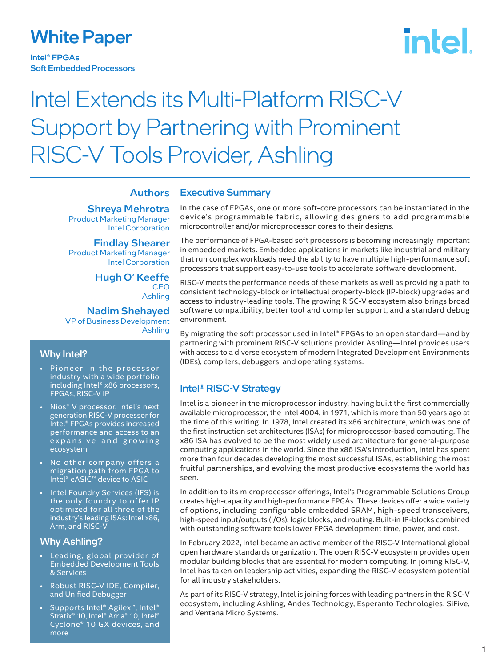### White Paper

Intel® FPGAs Soft Embedded Processors

# intel.

## Intel Extends its Multi-Platform RISC-V Support by Partnering with Prominent RISC-V Tools Provider, Ashling

#### **Authors**

Shreya Mehrotra Product Marketing Manager Intel Corporation

Findlay Shearer Product Marketing Manager Intel Corporation

> Hugh O' Keeffe **CEO** Ashling

Nadim Shehayed VP of Business Development Ashling

- Pioneer in the processor industry with a wide portfolio including Intel® x86 processors, FPGAs, RISC-V IP
- Nios® V processor, Intel's next generation RISC-V processor for Intel® FPGAs provides increased performance and access to an expansive and growing ecosystem
- No other company offers a migration path from FPGA to Intel® eASIC™ device to ASIC
- Intel Foundry Services (IFS) is the only foundry to offer IP optimized for all three of the industry's leading ISAs: Intel x86, Arm, and RISC-V

#### Why Ashling?

- Leading, global provider of Embedded Development Tools & Services
- Robust RISC-V IDE, Compiler, and Unified Debugger
- Supports Intel® Agilex™, Intel® Stratix® 10, Intel® Arria® 10, Intel® Cyclone® 10 GX devices, and more

#### Executive Summary

In the case of FPGAs, one or more soft-core processors can be instantiated in the device's programmable fabric, allowing designers to add programmable microcontroller and/or microprocessor cores to their designs.

The performance of FPGA-based soft processors is becoming increasingly important in embedded markets. Embedded applications in markets like industrial and military that run complex workloads need the ability to have multiple high-performance soft processors that support easy-to-use tools to accelerate software development.

RISC-V meets the performance needs of these markets as well as providing a path to consistent technology-block or intellectual property-block (IP-block) upgrades and access to industry-leading tools. The growing RISC-V ecosystem also brings broad software compatibility, better tool and compiler support, and a standard debug environment.

By migrating the soft processor used in Intel® FPGAs to an open standard—and by partnering with prominent RISC-V solutions provider Ashling—Intel provides users with access to a diverse ecosystem of modern Integrated Development Environments Why Intel?<br>(IDEs), compilers, debuggers, and operating systems.<br>(IDEs), compilers, debuggers, and operating systems.

### Intel® RISC-V Strategy

Intel is a pioneer in the microprocessor industry, having built the first commercially available microprocessor, the Intel 4004, in 1971, which is more than 50 years ago at the time of this writing. In 1978, Intel created its x86 architecture, which was one of the first instruction set architectures (ISAs) for microprocessor-based computing. The x86 ISA has evolved to be the most widely used architecture for general-purpose computing applications in the world. Since the x86 ISA's introduction, Intel has spent more than four decades developing the most successful ISAs, establishing the most fruitful partnerships, and evolving the most productive ecosystems the world has seen.

In addition to its microprocessor offerings, Intel's Programmable Solutions Group creates high-capacity and high-performance FPGAs. These devices offer a wide variety of options, including configurable embedded SRAM, high-speed transceivers, high-speed input/outputs (I/Os), logic blocks, and routing. Built-in IP-blocks combined with outstanding software tools lower FPGA development time, power, and cost.

In February 2022, Intel became an active member of the RISC-V International global open hardware standards organization. The open RISC-V ecosystem provides open modular building blocks that are essential for modern computing. In joining RISC-V, Intel has taken on leadership activities, expanding the RISC-V ecosystem potential for all industry stakeholders.

As part of its RISC-V strategy, Intel is joining forces with leading partners in the RISC-V ecosystem, including Ashling, Andes Technology, Esperanto Technologies, SiFive, and Ventana Micro Systems.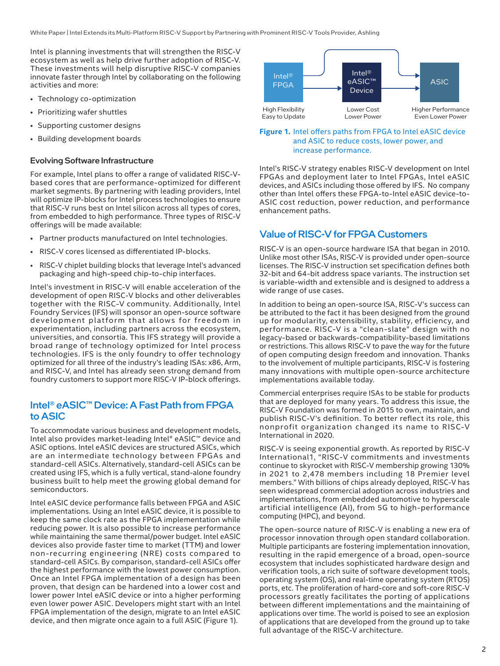White Paper | Intel Extends its Multi-Platform RISC-V Support by Partnering with Prominent RISC-V Tools Provider, Ashling

Intel is planning investments that will strengthen the RISC-V ecosystem as well as help drive further adoption of RISC-V. These investments will help disruptive RISC-V companies innovate faster through Intel by collaborating on the following activities and more:

- Technology co-optimization
- Prioritizing wafer shuttles
- Supporting customer designs
- Building development boards

#### Evolving Software Infrastructure

For example, Intel plans to offer a range of validated RISC-Vbased cores that are performance-optimized for different market segments. By partnering with leading providers, Intel will optimize IP-blocks for Intel process technologies to ensure that RISC-V runs best on Intel silicon across all types of cores, from embedded to high performance. Three types of RISC-V offerings will be made available:

- Partner products manufactured on Intel technologies.
- RISC-V cores licensed as differentiated IP-blocks.
- RISC-V chiplet building blocks that leverage Intel's advanced packaging and high-speed chip-to-chip interfaces.

Intel's investment in RISC-V will enable acceleration of the development of open RISC-V blocks and other deliverables together with the RISC-V community. Additionally, Intel Foundry Services (IFS) will sponsor an open-source software development platform that allows for freedom in experimentation, including partners across the ecosystem, universities, and consortia. This IFS strategy will provide a broad range of technology optimized for Intel process technologies. IFS is the only foundry to offer technology optimized for all three of the industry's leading ISAs: x86, Arm, and RISC-V, and Intel has already seen strong demand from foundry customers to support more RISC-V IP-block offerings.

#### Intel® eASIC™ Device: A Fast Path from FPGA to ASIC

To accommodate various business and development models, Intel also provides market-leading Intel® eASIC™ device and ASIC options. Intel eASIC devices are structured ASICs, which are an intermediate technology between FPGAs and standard-cell ASICs. Alternatively, standard-cell ASICs can be created using IFS, which is a fully vertical, stand-alone foundry business built to help meet the growing global demand for semiconductors.

Intel eASIC device performance falls between FPGA and ASIC implementations. Using an Intel eASIC device, it is possible to keep the same clock rate as the FPGA implementation while reducing power. It is also possible to increase performance while maintaining the same thermal/power budget. Intel eASIC devices also provide faster time to market (TTM) and lower non-recurring engineering (NRE) costs compared to standard-cell ASICs. By comparison, standard-cell ASICs offer the highest performance with the lowest power consumption. Once an Intel FPGA implementation of a design has been proven, that design can be hardened into a lower cost and lower power Intel eASIC device or into a higher performing even lower power ASIC. Developers might start with an Intel FPGA implementation of the design, migrate to an Intel eASIC device, and then migrate once again to a full ASIC (Figure 1).



#### **Figure 1.** Intel offers paths from FPGA to Intel eASIC device and ASIC to reduce costs, lower power, and increase performance.

Intel's RISC-V strategy enables RISC-V development on Intel FPGAs and deployment later to Intel FPGAs, Intel eASIC devices, and ASICs including those offered by IFS. No company other than Intel offers these FPGA-to-Intel eASIC device-to-ASIC cost reduction, power reduction, and performance enhancement paths.

#### Value of RISC-V for FPGA Customers

RISC-V is an open-source hardware ISA that began in 2010. Unlike most other ISAs, RISC-V is provided under open-source licenses. The RISC-V instruction set specification defines both 32-bit and 64-bit address space variants. The instruction set is variable-width and extensible and is designed to address a wide range of use cases.

In addition to being an open-source ISA, RISC-V's success can be attributed to the fact it has been designed from the ground up for modularity, extensibility, stability, efficiency, and performance. RISC-V is a "clean-slate" design with no legacy-based or backwards-compatibility-based limitations or restrictions. This allows RISC-V to pave the way for the future of open computing design freedom and innovation. Thanks to the involvement of multiple participants, RISC-V is fostering many innovations with multiple open-source architecture implementations available today.

Commercial enterprises require ISAs to be stable for products that are deployed for many years. To address this issue, the RISC-V Foundation was formed in 2015 to own, maintain, and publish RISC-V's definition. To better reflect its role, this nonprofit organization changed its name to RISC-V International in 2020.

RISC-V is seeing exponential growth. As reported by RISC-V International1, "RISC-V commitments and investments continue to skyrocket with RISC-V membership growing 130% in 2021 to 2,478 members including 18 Premier level members." With billions of chips already deployed, RISC-V has seen widespread commercial adoption across industries and implementations, from embedded automotive to hyperscale artificial intelligence (AI), from 5G to high-performance computing (HPC), and beyond.

The open-source nature of RISC-V is enabling a new era of processor innovation through open standard collaboration. Multiple participants are fostering implementation innovation, resulting in the rapid emergence of a broad, open-source ecosystem that includes sophisticated hardware design and verification tools, a rich suite of software development tools, operating system (OS), and real-time operating system (RTOS) ports, etc. The proliferation of hard-core and soft-core RISC-V processors greatly facilitates the porting of applications between different implementations and the maintaining of applications over time. The world is poised to see an explosion of applications that are developed from the ground up to take full advantage of the RISC-V architecture.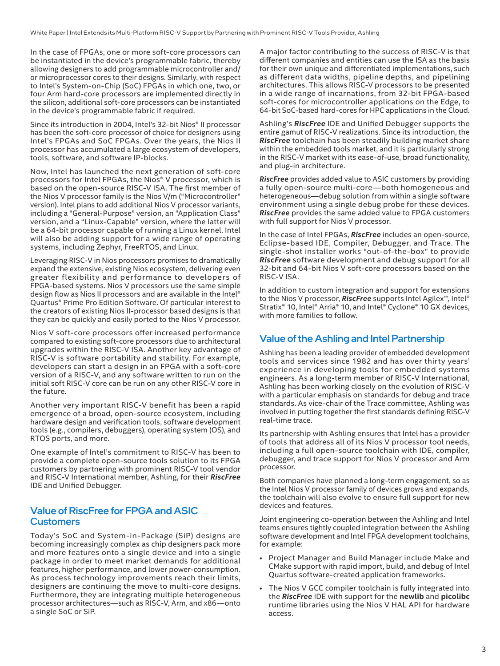In the case of FPGAs, one or more soft-core processors can be instantiated in the device's programmable fabric, thereby allowing designers to add programmable microcontroller and/ or microprocessor cores to their designs. Similarly, with respect to Intel's System-on-Chip (SoC) FPGAs in which one, two, or four Arm hard-core processors are implemented directly in the silicon, additional soft-core processors can be instantiated in the device's programmable fabric if required.

Since its introduction in 2004, Intel's 32-bit Nios® II processor has been the soft-core processor of choice for designers using Intel's FPGAs and SoC FPGAs. Over the years, the Nios II processor has accumulated a large ecosystem of developers, tools, software, and software IP-blocks.

Now, Intel has launched the next generation of soft-core processors for Intel FPGAs, the Nios® V processor, which is based on the open-source RISC-V ISA. The first member of the Nios V processor family is the Nios V/m ("Microcontroller" version). Intel plans to add additional Nios V processor variants, including a "General-Purpose" version, an "Application Class" version, and a "Linux-Capable" version, where the latter will be a 64-bit processor capable of running a Linux kernel. Intel will also be adding support for a wide range of operating systems, including Zephyr, FreeRTOS, and Linux.

Leveraging RISC-V in Nios processors promises to dramatically expand the extensive, existing Nios ecosystem, delivering even greater flexibility and performance to developers of FPGA-based systems. Nios V processors use the same simple design flow as Nios II processors and are available in the Intel® Quartus® Prime Pro Edition Software. Of particular interest to the creators of existing Nios II-processor based designs is that they can be quickly and easily ported to the Nios V processor.

Nios V soft-core processors offer increased performance compared to existing soft-core processors due to architectural upgrades within the RISC-V ISA. Another key advantage of RISC-V is software portability and stability. For example, developers can start a design in an FPGA with a soft-core version of a RISC-V, and any software written to run on the initial soft RISC-V core can be run on any other RISC-V core in the future.

Another very important RISC-V benefit has been a rapid emergence of a broad, open-source ecosystem, including hardware design and verification tools, software development tools (e.g., compilers, debuggers), operating system (OS), and RTOS ports, and more.

One example of Intel's commitment to RISC-V has been to provide a complete open-source tools solution to its FPGA customers by partnering with prominent RISC-V tool vendor and RISC-V International member, Ashling, for their *RiscFree* IDE and Unified Debugger.

#### Value of RiscFree for FPGA and ASIC **Customers**

Today's SoC and System-in-Package (SiP) designs are becoming increasingly complex as chip designers pack more and more features onto a single device and into a single package in order to meet market demands for additional features, higher performance, and lower power-consumption. As process technology improvements reach their limits, designers are continuing the move to multi-core designs. Furthermore, they are integrating multiple heterogeneous processor architectures—such as RISC-V, Arm, and x86—onto a single SoC or SiP.

A major factor contributing to the success of RISC-V is that different companies and entities can use the ISA as the basis for their own unique and differentiated implementations, such as different data widths, pipeline depths, and pipelining architectures. This allows RISC-V processors to be presented in a wide range of incarnations, from 32-bit FPGA-based soft-cores for microcontroller applications on the Edge, to 64-bit SoC-based hard-cores for HPC applications in the Cloud.

Ashling's *RiscFree* IDE and Unified Debugger supports the entire gamut of RISC-V realizations. Since its introduction, the *RiscFree* toolchain has been steadily building market share within the embedded tools market, and it is particularly strong in the RISC-V market with its ease-of-use, broad functionality, and plug-in architecture.

*RiscFree* provides added value to ASIC customers by providing a fully open-source multi-core—both homogeneous and heterogeneous—debug solution from within a single software environment using a single debug probe for these devices. *RiscFree* provides the same added value to FPGA customers with full support for Nios V processor.

In the case of Intel FPGAs, *RiscFree* includes an open-source, Eclipse-based IDE, Compiler, Debugger, and Trace. The single-shot installer works "out-of-the-box" to provide *RiscFree* software development and debug support for all 32-bit and 64-bit Nios V soft-core processors based on the RISC-V ISA.

In addition to custom integration and support for extensions to the Nios V processor, *RiscFree* supports Intel Agilex™, Intel® Stratix® 10, Intel® Arria® 10, and Intel® Cyclone® 10 GX devices, with more families to follow.

#### Value of the Ashling and Intel Partnership

Ashling has been a leading provider of embedded development tools and services since 1982 and has over thirty years' experience in developing tools for embedded systems engineers. As a long-term member of RISC-V International, Ashling has been working closely on the evolution of RISC-V with a particular emphasis on standards for debug and trace standards. As vice-chair of the Trace committee, Ashling was involved in putting together the first standards defining RISC-V real-time trace.

Its partnership with Ashling ensures that Intel has a provider of tools that address all of its Nios V processor tool needs, including a full open-source toolchain with IDE, compiler, debugger, and trace support for Nios V processor and Arm processor.

Both companies have planned a long-term engagement, so as the Intel Nios V processor family of devices grows and expands, the toolchain will also evolve to ensure full support for new devices and features.

Joint engineering co-operation between the Ashling and Intel teams ensures tightly coupled integration between the Ashling software development and Intel FPGA development toolchains, for example:

- Project Manager and Build Manager include Make and CMake support with rapid import, build, and debug of Intel Quartus software-created application frameworks.
- The Nios V GCC compiler toolchain is fully integrated into the *RiscFree* IDE with support for the **newlib** and **picolibc**  runtime libraries using the Nios V HAL API for hardware access.